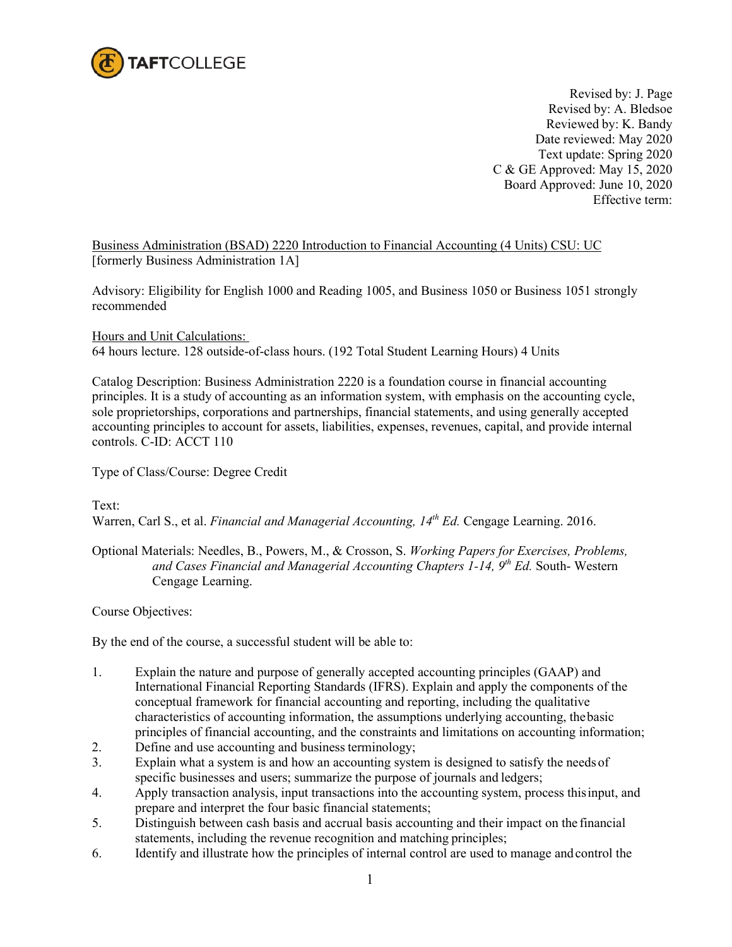

Revised by: J. Page Revised by: A. Bledsoe Reviewed by: K. Bandy Date reviewed: May 2020 Text update: Spring 2020 C & GE Approved: May 15, 2020 Board Approved: June 10, 2020 Effective term:

Business Administration (BSAD) 2220 Introduction to Financial Accounting (4 Units) CSU: UC [formerly Business Administration 1A]

Advisory: Eligibility for English 1000 and Reading 1005, and Business 1050 or Business 1051 strongly recommended

Hours and Unit Calculations: 64 hours lecture. 128 outside-of-class hours. (192 Total Student Learning Hours) 4 Units

Catalog Description: Business Administration 2220 is a foundation course in financial accounting principles. It is a study of accounting as an information system, with emphasis on the accounting cycle, sole proprietorships, corporations and partnerships, financial statements, and using generally accepted accounting principles to account for assets, liabilities, expenses, revenues, capital, and provide internal controls. C-ID: ACCT 110

Type of Class/Course: Degree Credit

Text:

Warren, Carl S., et al. *Financial and Managerial Accounting, 14th Ed.* Cengage Learning. 2016.

Optional Materials: Needles, B., Powers, M., & Crosson, S. *Working Papers for Exercises, Problems, and Cases Financial and Managerial Accounting Chapters 1-14, 9th Ed.* South- Western Cengage Learning.

Course Objectives:

By the end of the course, a successful student will be able to:

- 1. Explain the nature and purpose of generally accepted accounting principles (GAAP) and International Financial Reporting Standards (IFRS). Explain and apply the components of the conceptual framework for financial accounting and reporting, including the qualitative characteristics of accounting information, the assumptions underlying accounting, thebasic principles of financial accounting, and the constraints and limitations on accounting information;
- 2. Define and use accounting and business terminology;
- 3. Explain what a system is and how an accounting system is designed to satisfy the needs of specific businesses and users; summarize the purpose of journals and ledgers;
- 4. Apply transaction analysis, input transactions into the accounting system, process thisinput, and prepare and interpret the four basic financial statements;
- 5. Distinguish between cash basis and accrual basis accounting and their impact on the financial statements, including the revenue recognition and matching principles;
- 6. Identify and illustrate how the principles of internal control are used to manage andcontrol the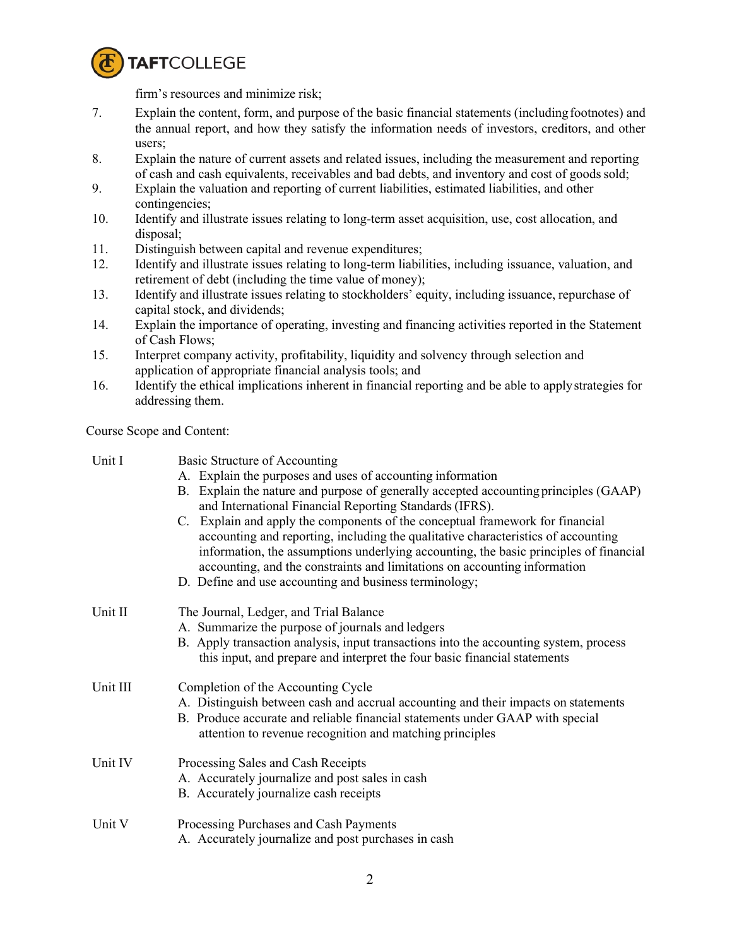

firm's resources and minimize risk;

- 7. Explain the content, form, and purpose of the basic financial statements (includingfootnotes) and the annual report, and how they satisfy the information needs of investors, creditors, and other users;
- 8. Explain the nature of current assets and related issues, including the measurement and reporting of cash and cash equivalents, receivables and bad debts, and inventory and cost of goodssold;
- 9. Explain the valuation and reporting of current liabilities, estimated liabilities, and other contingencies;
- 10. Identify and illustrate issues relating to long-term asset acquisition, use, cost allocation, and disposal;
- 11. Distinguish between capital and revenue expenditures;
- 12. Identify and illustrate issues relating to long-term liabilities, including issuance, valuation, and retirement of debt (including the time value of money);
- 13. Identify and illustrate issues relating to stockholders' equity, including issuance, repurchase of capital stock, and dividends;
- 14. Explain the importance of operating, investing and financing activities reported in the Statement of Cash Flows;
- 15. Interpret company activity, profitability, liquidity and solvency through selection and application of appropriate financial analysis tools; and
- 16. Identify the ethical implications inherent in financial reporting and be able to applystrategies for addressing them.

Course Scope and Content:

| Unit I   | Basic Structure of Accounting                                                                                                                                                                                                                                                                                                                                                                      |  |  |
|----------|----------------------------------------------------------------------------------------------------------------------------------------------------------------------------------------------------------------------------------------------------------------------------------------------------------------------------------------------------------------------------------------------------|--|--|
|          | A. Explain the purposes and uses of accounting information                                                                                                                                                                                                                                                                                                                                         |  |  |
|          | Explain the nature and purpose of generally accepted accounting principles (GAAP)<br>В.                                                                                                                                                                                                                                                                                                            |  |  |
|          | and International Financial Reporting Standards (IFRS).                                                                                                                                                                                                                                                                                                                                            |  |  |
|          | C. Explain and apply the components of the conceptual framework for financial<br>accounting and reporting, including the qualitative characteristics of accounting<br>information, the assumptions underlying accounting, the basic principles of financial<br>accounting, and the constraints and limitations on accounting information<br>D. Define and use accounting and business terminology; |  |  |
| Unit II  | The Journal, Ledger, and Trial Balance                                                                                                                                                                                                                                                                                                                                                             |  |  |
|          | A. Summarize the purpose of journals and ledgers                                                                                                                                                                                                                                                                                                                                                   |  |  |
|          | B. Apply transaction analysis, input transactions into the accounting system, process                                                                                                                                                                                                                                                                                                              |  |  |
|          | this input, and prepare and interpret the four basic financial statements                                                                                                                                                                                                                                                                                                                          |  |  |
|          |                                                                                                                                                                                                                                                                                                                                                                                                    |  |  |
| Unit III | Completion of the Accounting Cycle                                                                                                                                                                                                                                                                                                                                                                 |  |  |
|          | A. Distinguish between cash and accrual accounting and their impacts on statements                                                                                                                                                                                                                                                                                                                 |  |  |
|          | B. Produce accurate and reliable financial statements under GAAP with special                                                                                                                                                                                                                                                                                                                      |  |  |
|          | attention to revenue recognition and matching principles                                                                                                                                                                                                                                                                                                                                           |  |  |
| Unit IV  | Processing Sales and Cash Receipts                                                                                                                                                                                                                                                                                                                                                                 |  |  |
|          | A. Accurately journalize and post sales in cash                                                                                                                                                                                                                                                                                                                                                    |  |  |
|          | B. Accurately journalize cash receipts                                                                                                                                                                                                                                                                                                                                                             |  |  |
| Unit V   | Processing Purchases and Cash Payments                                                                                                                                                                                                                                                                                                                                                             |  |  |
|          | A. Accurately journalize and post purchases in cash                                                                                                                                                                                                                                                                                                                                                |  |  |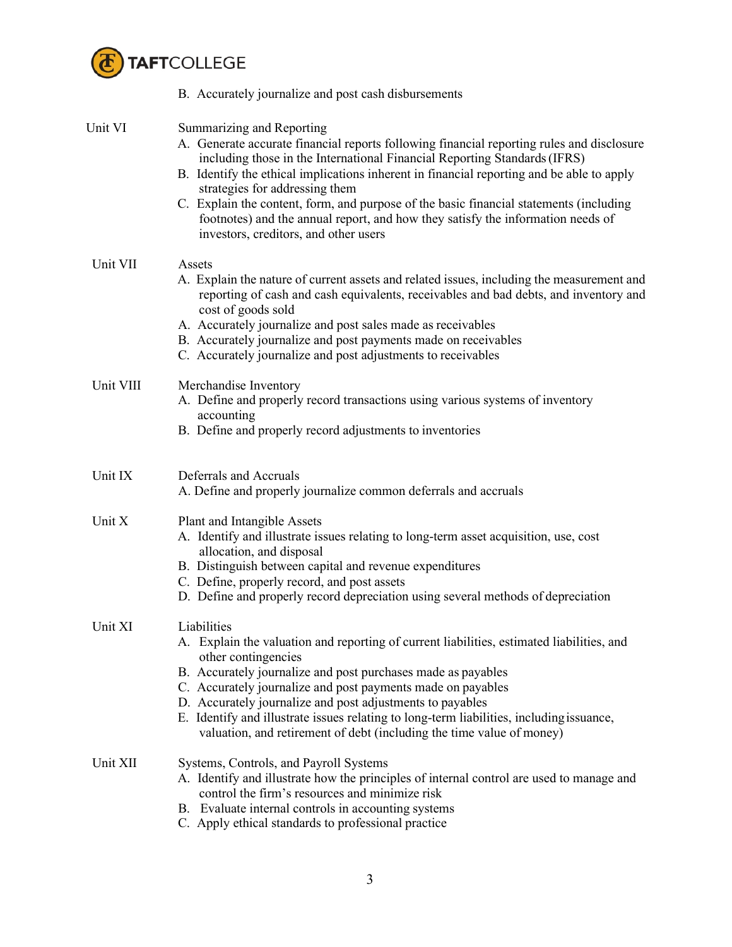

|           | B. Accurately journalize and post cash disbursements                                                                                                                                                                                                                                                                                                                                                                                                                                                                                                     |
|-----------|----------------------------------------------------------------------------------------------------------------------------------------------------------------------------------------------------------------------------------------------------------------------------------------------------------------------------------------------------------------------------------------------------------------------------------------------------------------------------------------------------------------------------------------------------------|
| Unit VI   | Summarizing and Reporting<br>A. Generate accurate financial reports following financial reporting rules and disclosure<br>including those in the International Financial Reporting Standards (IFRS)<br>B. Identify the ethical implications inherent in financial reporting and be able to apply<br>strategies for addressing them<br>C. Explain the content, form, and purpose of the basic financial statements (including<br>footnotes) and the annual report, and how they satisfy the information needs of<br>investors, creditors, and other users |
| Unit VII  | Assets<br>A. Explain the nature of current assets and related issues, including the measurement and<br>reporting of cash and cash equivalents, receivables and bad debts, and inventory and<br>cost of goods sold<br>A. Accurately journalize and post sales made as receivables<br>B. Accurately journalize and post payments made on receivables<br>C. Accurately journalize and post adjustments to receivables                                                                                                                                       |
| Unit VIII | Merchandise Inventory<br>A. Define and properly record transactions using various systems of inventory<br>accounting<br>B. Define and properly record adjustments to inventories                                                                                                                                                                                                                                                                                                                                                                         |
| Unit IX   | Deferrals and Accruals<br>A. Define and properly journalize common deferrals and accruals                                                                                                                                                                                                                                                                                                                                                                                                                                                                |
| Unit X    | Plant and Intangible Assets<br>A. Identify and illustrate issues relating to long-term asset acquisition, use, cost<br>allocation, and disposal<br>B. Distinguish between capital and revenue expenditures<br>C. Define, properly record, and post assets<br>D. Define and properly record depreciation using several methods of depreciation                                                                                                                                                                                                            |
| Unit XI   | Liabilities<br>A. Explain the valuation and reporting of current liabilities, estimated liabilities, and<br>other contingencies<br>B. Accurately journalize and post purchases made as payables<br>C. Accurately journalize and post payments made on payables<br>D. Accurately journalize and post adjustments to payables<br>E. Identify and illustrate issues relating to long-term liabilities, including issuance,<br>valuation, and retirement of debt (including the time value of money)                                                         |
| Unit XII  | Systems, Controls, and Payroll Systems<br>A. Identify and illustrate how the principles of internal control are used to manage and<br>control the firm's resources and minimize risk<br>B. Evaluate internal controls in accounting systems<br>C. Apply ethical standards to professional practice                                                                                                                                                                                                                                                       |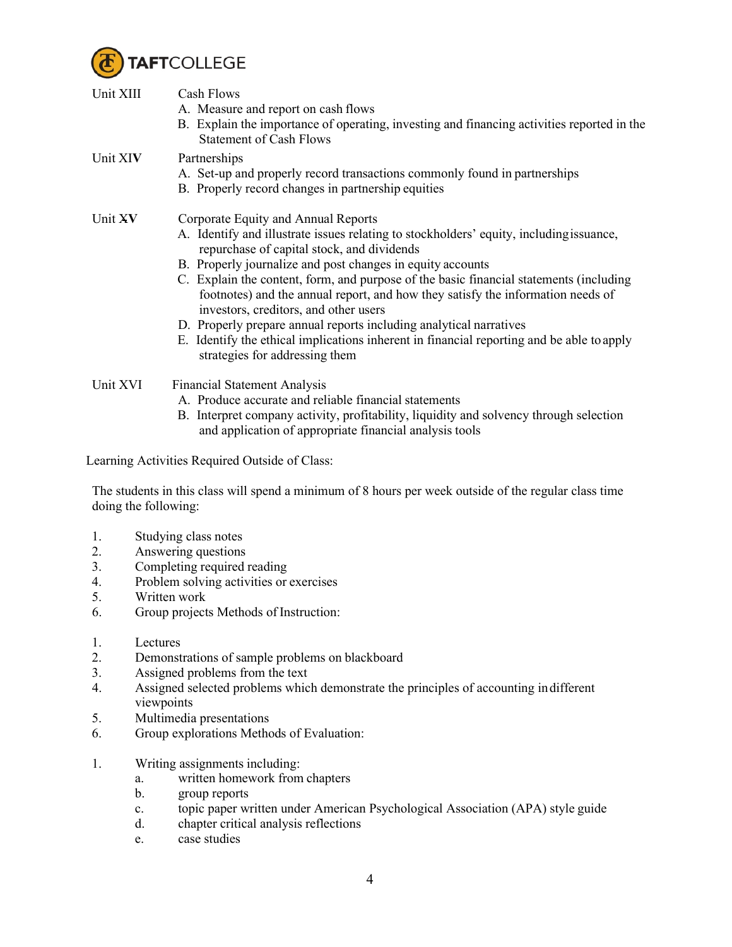

| Unit XIII | Cash Flows<br>A. Measure and report on cash flows<br>B. Explain the importance of operating, investing and financing activities reported in the<br><b>Statement of Cash Flows</b>                                                                                                                                                                                                                                                                                                                                                                                                                                                                                     |  |
|-----------|-----------------------------------------------------------------------------------------------------------------------------------------------------------------------------------------------------------------------------------------------------------------------------------------------------------------------------------------------------------------------------------------------------------------------------------------------------------------------------------------------------------------------------------------------------------------------------------------------------------------------------------------------------------------------|--|
| Unit XIV  | Partnerships<br>A. Set-up and properly record transactions commonly found in partnerships<br>B. Properly record changes in partnership equities                                                                                                                                                                                                                                                                                                                                                                                                                                                                                                                       |  |
| Unit XV   | Corporate Equity and Annual Reports<br>A. Identify and illustrate issues relating to stockholders' equity, including issuance,<br>repurchase of capital stock, and dividends<br>B. Properly journalize and post changes in equity accounts<br>C. Explain the content, form, and purpose of the basic financial statements (including<br>footnotes) and the annual report, and how they satisfy the information needs of<br>investors, creditors, and other users<br>D. Properly prepare annual reports including analytical narratives<br>E. Identify the ethical implications inherent in financial reporting and be able to apply<br>strategies for addressing them |  |
| Unit XVI  | <b>Financial Statement Analysis</b>                                                                                                                                                                                                                                                                                                                                                                                                                                                                                                                                                                                                                                   |  |

- A. Produce accurate and reliable financial statements
- B. Interpret company activity, profitability, liquidity and solvency through selection and application of appropriate financial analysis tools

Learning Activities Required Outside of Class:

The students in this class will spend a minimum of 8 hours per week outside of the regular class time doing the following:

- 1. Studying class notes
- 2. Answering questions<br>3. Completing required
- Completing required reading
- 4. Problem solving activities or exercises
- 5. Written work
- 6. Group projects Methods of Instruction:
- 1. Lectures
- 2. Demonstrations of sample problems on blackboard
- 3. Assigned problems from the text
- 4. Assigned selected problems which demonstrate the principles of accounting indifferent viewpoints
- 5. Multimedia presentations
- 6. Group explorations Methods of Evaluation:
- 1. Writing assignments including:
	- a. written homework from chapters
	- b. group reports
	- c. topic paper written under American Psychological Association (APA) style guide
	- d. chapter critical analysis reflections
	- e. case studies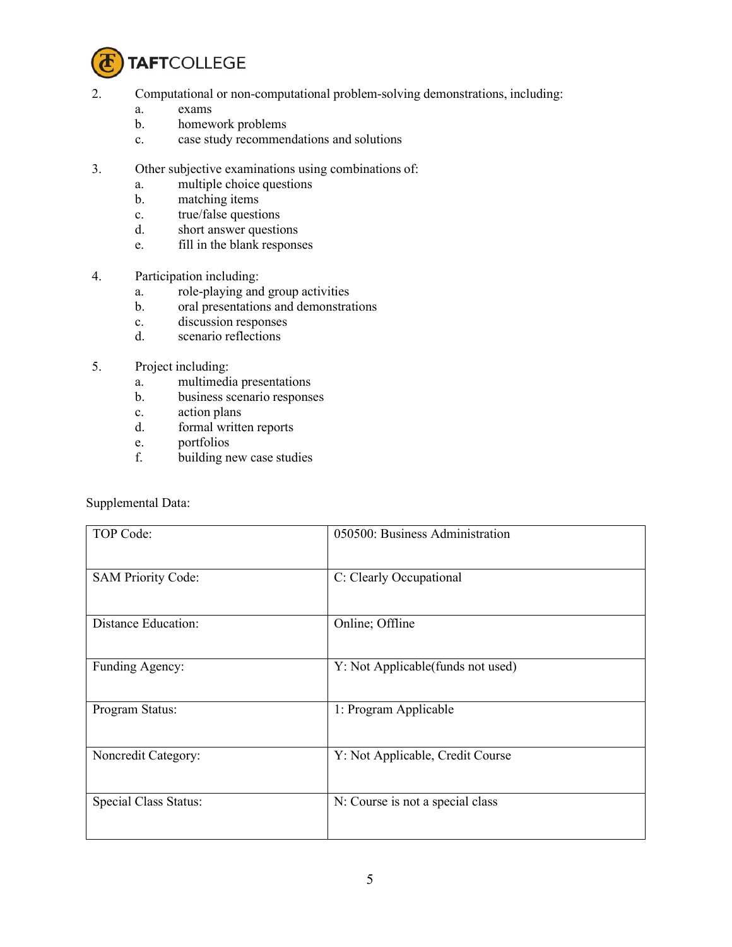

- 2. Computational or non-computational problem-solving demonstrations, including:
	- a. exams
	- b. homework problems
	- c. case study recommendations and solutions
- 3. Other subjective examinations using combinations of:
	- a. multiple choice questions
	- b. matching items
	- c. true/false questions
	- d. short answer questions
	- e. fill in the blank responses
- 4. Participation including:
	- a. role-playing and group activities
	- b. oral presentations and demonstrations
	- c. discussion responses
	- d. scenario reflections
- 5. Project including:
	- a. multimedia presentations
	- b. business scenario responses
	- c. action plans
	- d. formal written reports
	- e. portfolios
	- f. building new case studies

Supplemental Data:

| TOP Code:                  | 050500: Business Administration    |
|----------------------------|------------------------------------|
| <b>SAM Priority Code:</b>  | C: Clearly Occupational            |
| <b>Distance Education:</b> | Online; Offline                    |
| Funding Agency:            | Y: Not Applicable(funds not used)  |
| Program Status:            | 1: Program Applicable              |
| Noncredit Category:        | Y: Not Applicable, Credit Course   |
| Special Class Status:      | $N:$ Course is not a special class |